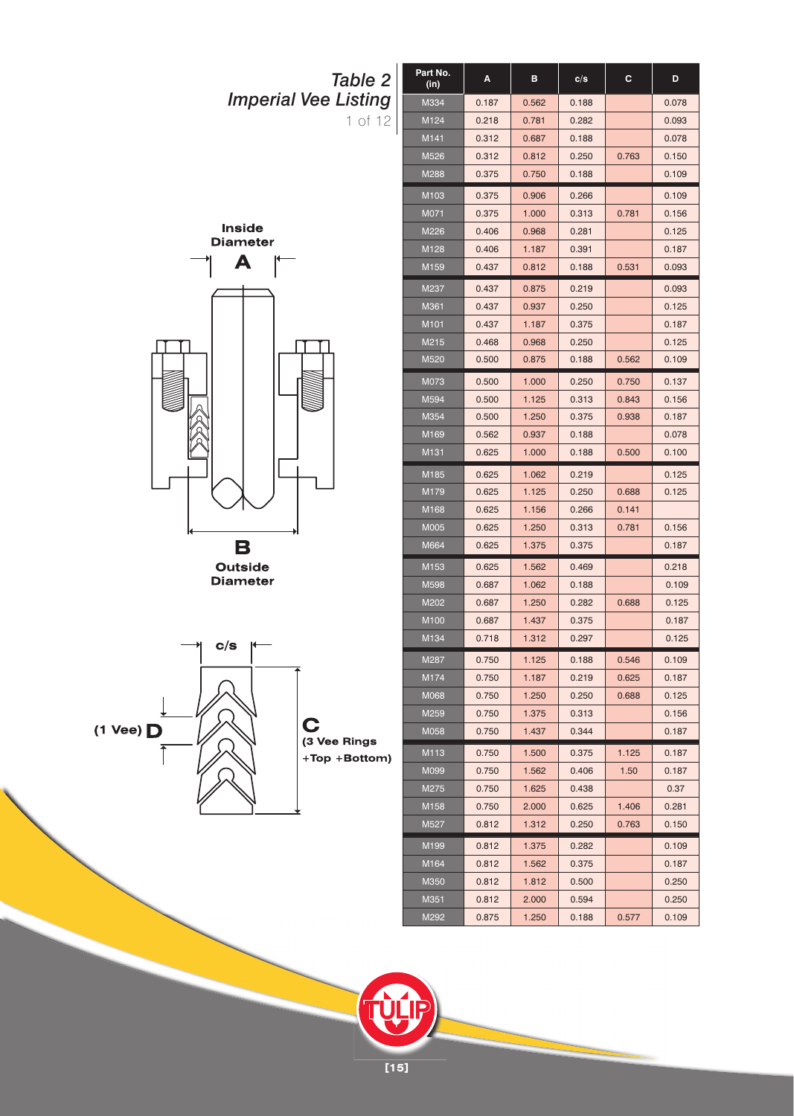



 $(1$  Vee)  $\Box$ 

**[15]**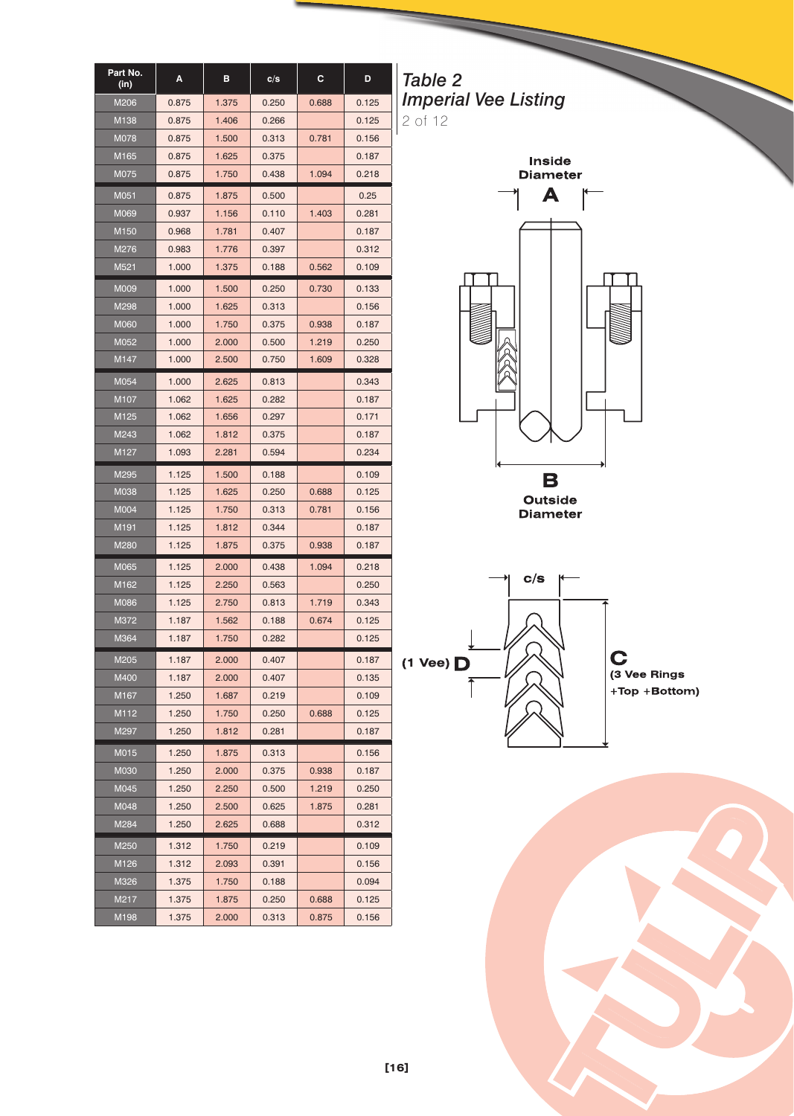| Part No.<br>(in) | A     | в     | c/s   | С     | D     |
|------------------|-------|-------|-------|-------|-------|
| M206             | 0.875 | 1.375 | 0.250 | 0.688 | 0.125 |
| M138             | 0.875 | 1.406 | 0.266 |       | 0.125 |
| M078             | 0.875 | 1.500 | 0.313 | 0.781 | 0.156 |
| M165             | 0.875 | 1.625 | 0.375 |       | 0.187 |
| M075             | 0.875 | 1.750 | 0.438 | 1.094 | 0.218 |
| M051             | 0.875 | 1.875 | 0.500 |       | 0.25  |
| M069             | 0.937 | 1.156 | 0.110 | 1.403 | 0.281 |
| M <sub>150</sub> | 0.968 | 1.781 | 0.407 |       | 0.187 |
| M276             | 0.983 | 1.776 | 0.397 |       | 0.312 |
| M521             | 1.000 | 1.375 | 0.188 | 0.562 | 0.109 |
| M009             | 1.000 | 1.500 | 0.250 | 0.730 | 0.133 |
| M298             | 1.000 | 1.625 | 0.313 |       | 0.156 |
| <b>M060</b>      | 1.000 | 1.750 | 0.375 | 0.938 | 0.187 |
| M052             | 1.000 | 2.000 | 0.500 | 1.219 | 0.250 |
| M147             | 1.000 | 2.500 | 0.750 | 1.609 | 0.328 |
| M054             | 1.000 | 2.625 | 0.813 |       | 0.343 |
| M107             | 1.062 | 1.625 | 0.282 |       | 0.187 |
| M <sub>125</sub> | 1.062 | 1.656 | 0.297 |       | 0.171 |
| M243             | 1.062 | 1.812 | 0.375 |       | 0.187 |
| M <sub>127</sub> | 1.093 | 2.281 | 0.594 |       | 0.234 |
| M295             | 1.125 | 1.500 | 0.188 |       | 0.109 |
| M038             | 1.125 | 1.625 | 0.250 | 0.688 | 0.125 |
| M004             | 1.125 | 1.750 | 0.313 | 0.781 | 0.156 |
| M191             | 1.125 | 1.812 | 0.344 |       | 0.187 |
| M280             | 1.125 | 1.875 | 0.375 | 0.938 | 0.187 |
| M065             | 1.125 | 2.000 | 0.438 | 1.094 | 0.218 |
| M162             | 1.125 | 2.250 | 0.563 |       | 0.250 |
| M086             | 1.125 | 2.750 | 0.813 | 1.719 | 0.343 |
| M372             | 1.187 | 1.562 | 0.188 | 0.674 | 0.125 |
| M364             | 1.187 | 1.750 | 0.282 |       | 0.125 |
| M205             | 1.187 | 2.000 | 0.407 |       | 0.187 |
| M400             | 1.187 | 2.000 | 0.407 |       | 0.135 |
| M167             | 1.250 | 1.687 | 0.219 |       | 0.109 |
| M112             | 1.250 | 1.750 | 0.250 | 0.688 | 0.125 |
| M297             | 1.250 | 1.812 | 0.281 |       | 0.187 |
| M015             | 1.250 | 1.875 | 0.313 |       | 0.156 |
| M030             | 1.250 | 2.000 | 0.375 | 0.938 | 0.187 |
| M045             | 1.250 | 2.250 | 0.500 | 1.219 | 0.250 |
| M048             | 1.250 | 2.500 | 0.625 | 1.875 | 0.281 |
| M284             | 1.250 | 2.625 | 0.688 |       | 0.312 |
| M250             | 1.312 | 1.750 | 0.219 |       | 0.109 |
| M126             | 1.312 | 2.093 | 0.391 |       | 0.156 |
| M326             | 1.375 | 1.750 | 0.188 |       | 0.094 |
| M217             | 1.375 | 1.875 | 0.250 | 0.688 | 0.125 |
| M198             | 1.375 | 2.000 | 0.313 | 0.875 | 0.156 |

*Table 2 Imperial Vee Listing* 2 of 12







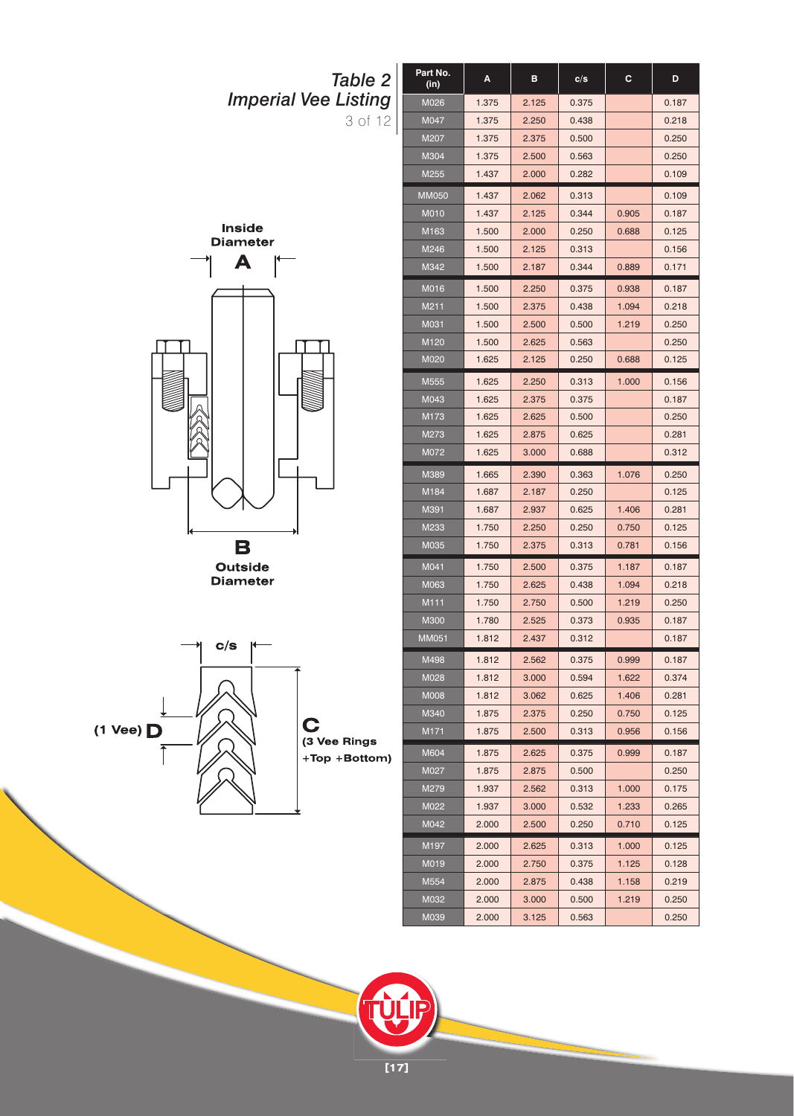



 $(1$  Vee)  $\Box$ 

**[17]**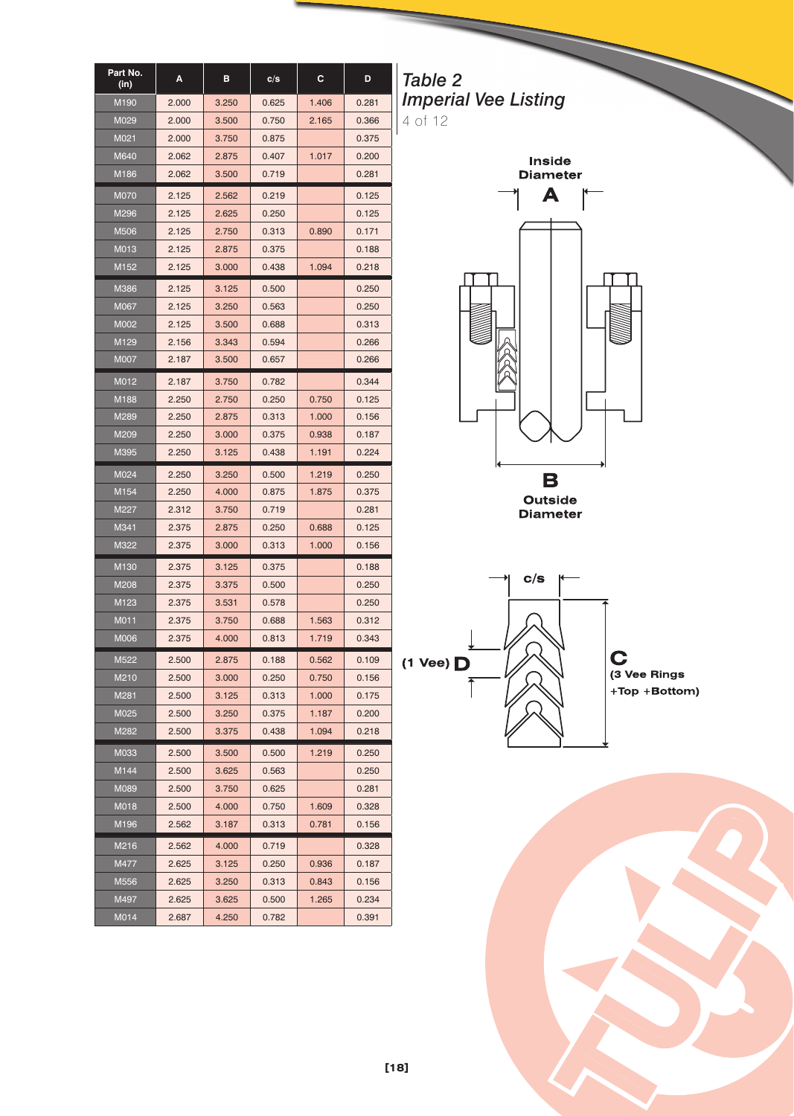| Part No.<br>(in) | A     | в     | c/s   | c     | D     |
|------------------|-------|-------|-------|-------|-------|
| M190             | 2.000 | 3.250 | 0.625 | 1.406 | 0.281 |
| M029             | 2.000 | 3.500 | 0.750 | 2.165 | 0.366 |
| M021             | 2.000 | 3.750 | 0.875 |       | 0.375 |
| M640             | 2.062 | 2.875 | 0.407 | 1.017 | 0.200 |
| M186             | 2.062 | 3.500 | 0.719 |       | 0.281 |
| <b>M070</b>      | 2.125 | 2.562 | 0.219 |       | 0.125 |
| M296             | 2.125 | 2.625 | 0.250 |       | 0.125 |
| M506             | 2.125 | 2.750 | 0.313 | 0.890 | 0.171 |
| M013             | 2.125 | 2.875 | 0.375 |       | 0.188 |
| M152             | 2.125 | 3.000 | 0.438 | 1.094 | 0.218 |
| M386             | 2.125 | 3.125 | 0.500 |       | 0.250 |
| M067             | 2.125 | 3.250 | 0.563 |       | 0.250 |
| M002             | 2.125 | 3.500 | 0.688 |       | 0.313 |
| M <sub>129</sub> | 2.156 | 3.343 | 0.594 |       | 0.266 |
| M007             | 2.187 | 3.500 | 0.657 |       | 0.266 |
| M012             | 2.187 | 3.750 | 0.782 |       | 0.344 |
| M188             | 2.250 | 2.750 | 0.250 | 0.750 | 0.125 |
| M289             | 2.250 | 2.875 | 0.313 | 1.000 | 0.156 |
| M209             | 2.250 | 3.000 | 0.375 | 0.938 | 0.187 |
| M395             | 2.250 | 3.125 | 0.438 | 1.191 | 0.224 |
| M024             | 2.250 | 3.250 | 0.500 | 1.219 | 0.250 |
| M154             | 2.250 | 4.000 | 0.875 | 1.875 | 0.375 |
| M227             | 2.312 | 3.750 | 0.719 |       | 0.281 |
| M341             | 2.375 | 2.875 | 0.250 | 0.688 | 0.125 |
| M322             | 2.375 | 3.000 | 0.313 | 1.000 | 0.156 |
| M130             | 2.375 | 3.125 | 0.375 |       | 0.188 |
| M208             | 2.375 | 3.375 | 0.500 |       | 0.250 |
| M <sub>123</sub> | 2.375 | 3.531 | 0.578 |       | 0.250 |
| M011             | 2.375 | 3.750 | 0.688 | 1.563 | 0.312 |
| <b>M006</b>      | 2.375 | 4.000 | 0.813 | 1.719 | 0.343 |
| M522             | 2.500 | 2.875 | 0.188 | 0.562 | 0.109 |
| M210             | 2.500 | 3.000 | 0.250 | 0.750 | 0.156 |
| M281             | 2.500 | 3.125 | 0.313 | 1.000 | 0.175 |
| M025             | 2.500 | 3.250 | 0.375 | 1.187 | 0.200 |
| M282             | 2.500 | 3.375 | 0.438 | 1.094 | 0.218 |
| M033             | 2.500 | 3.500 | 0.500 | 1.219 | 0.250 |
| M144             | 2.500 | 3.625 | 0.563 |       | 0.250 |
| M089             | 2.500 | 3.750 | 0.625 |       | 0.281 |
| M018             | 2.500 | 4.000 | 0.750 | 1.609 | 0.328 |
| M196             | 2.562 | 3.187 | 0.313 | 0.781 | 0.156 |
| M216             | 2.562 | 4.000 | 0.719 |       | 0.328 |
| M477             | 2.625 | 3.125 | 0.250 | 0.936 | 0.187 |
| M556             | 2.625 | 3.250 | 0.313 | 0.843 | 0.156 |
| M497             | 2.625 | 3.625 | 0.500 | 1.265 | 0.234 |
| M014             | 2.687 | 4.250 | 0.782 |       | 0.391 |

*Table 2 Imperial Vee Listing* 4 of 12







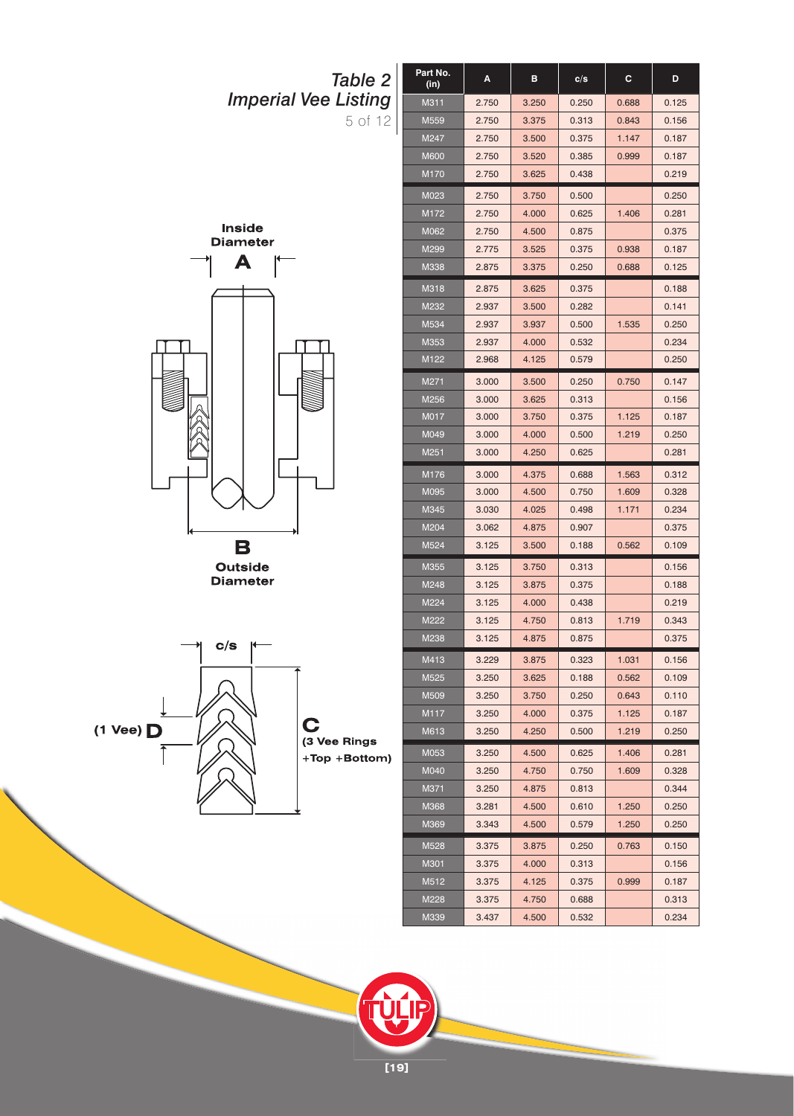



 $(1$  Vee)  $\Box$ 

**[19]**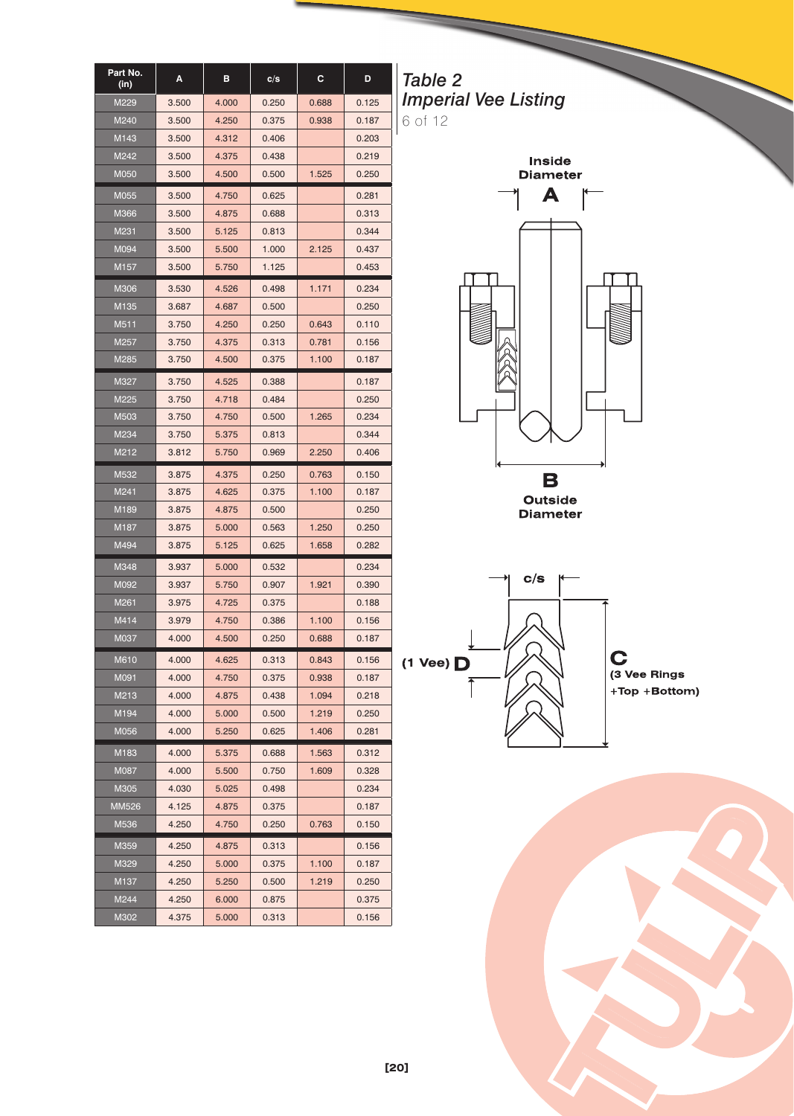| Part No.<br>(in) | A     | в     | c/s   | c     | D     |
|------------------|-------|-------|-------|-------|-------|
| M229             | 3.500 | 4.000 | 0.250 | 0.688 | 0.125 |
| M240             | 3.500 | 4.250 | 0.375 | 0.938 | 0.187 |
| M143             | 3.500 | 4.312 | 0.406 |       | 0.203 |
| M242             | 3.500 | 4.375 | 0.438 |       | 0.219 |
| M050             | 3.500 | 4.500 | 0.500 | 1.525 | 0.250 |
| M055             | 3.500 | 4.750 | 0.625 |       | 0.281 |
| M366             | 3.500 | 4.875 | 0.688 |       | 0.313 |
| M231             | 3.500 | 5.125 | 0.813 |       | 0.344 |
| M094             | 3.500 | 5.500 | 1.000 | 2.125 | 0.437 |
| M157             | 3.500 | 5.750 | 1.125 |       | 0.453 |
| M306             | 3.530 | 4.526 | 0.498 | 1.171 | 0.234 |
| M135             | 3.687 | 4.687 | 0.500 |       | 0.250 |
| M511             | 3.750 | 4.250 | 0.250 | 0.643 | 0.110 |
| M <sub>257</sub> | 3.750 | 4.375 | 0.313 | 0.781 | 0.156 |
| M285             | 3.750 | 4.500 | 0.375 | 1.100 | 0.187 |
| M327             | 3.750 | 4.525 | 0.388 |       | 0.187 |
| M225             | 3.750 | 4.718 | 0.484 |       | 0.250 |
| M503             | 3.750 | 4.750 | 0.500 | 1.265 | 0.234 |
| M234             | 3.750 | 5.375 | 0.813 |       | 0.344 |
| M212             | 3.812 | 5.750 | 0.969 | 2.250 | 0.406 |
| M532             | 3.875 | 4.375 | 0.250 | 0.763 | 0.150 |
| M241             | 3.875 | 4.625 | 0.375 | 1.100 | 0.187 |
| M189             | 3.875 | 4.875 | 0.500 |       | 0.250 |
| M187             | 3.875 | 5.000 | 0.563 | 1.250 | 0.250 |
| M494             | 3.875 | 5.125 | 0.625 | 1.658 | 0.282 |
| M348             | 3.937 | 5.000 | 0.532 |       | 0.234 |
| M092             | 3.937 | 5.750 | 0.907 | 1.921 | 0.390 |
| M261             | 3.975 | 4.725 | 0.375 |       | 0.188 |
| M414             | 3.979 | 4.750 | 0.386 | 1.100 | 0.156 |
| M037             | 4.000 | 4.500 | 0.250 | 0.688 | 0.187 |
| M610             | 4.000 | 4.625 | 0.313 | 0.843 | 0.156 |
| M091             | 4.000 | 4.750 | 0.375 | 0.938 | 0.187 |
| M213             | 4.000 | 4.875 | 0.438 | 1.094 | 0.218 |
| M194             | 4.000 | 5.000 | 0.500 | 1.219 | 0.250 |
| M056             | 4.000 | 5.250 | 0.625 | 1.406 | 0.281 |
| M183             | 4.000 | 5.375 | 0.688 | 1.563 | 0.312 |
| M087             | 4.000 | 5.500 | 0.750 | 1.609 | 0.328 |
| M305             | 4.030 | 5.025 | 0.498 |       | 0.234 |
| MM526            | 4.125 | 4.875 | 0.375 |       | 0.187 |
| M536             | 4.250 | 4.750 | 0.250 | 0.763 | 0.150 |
| M359             | 4.250 | 4.875 | 0.313 |       | 0.156 |
| M329             | 4.250 | 5.000 | 0.375 | 1.100 | 0.187 |
| M <sub>137</sub> | 4.250 | 5.250 | 0.500 | 1.219 | 0.250 |
| M244             | 4.250 | 6.000 | 0.875 |       | 0.375 |
| M302             | 4.375 | 5.000 | 0.313 |       | 0.156 |

*Table 2 Imperial Vee Listing* 6 of 12







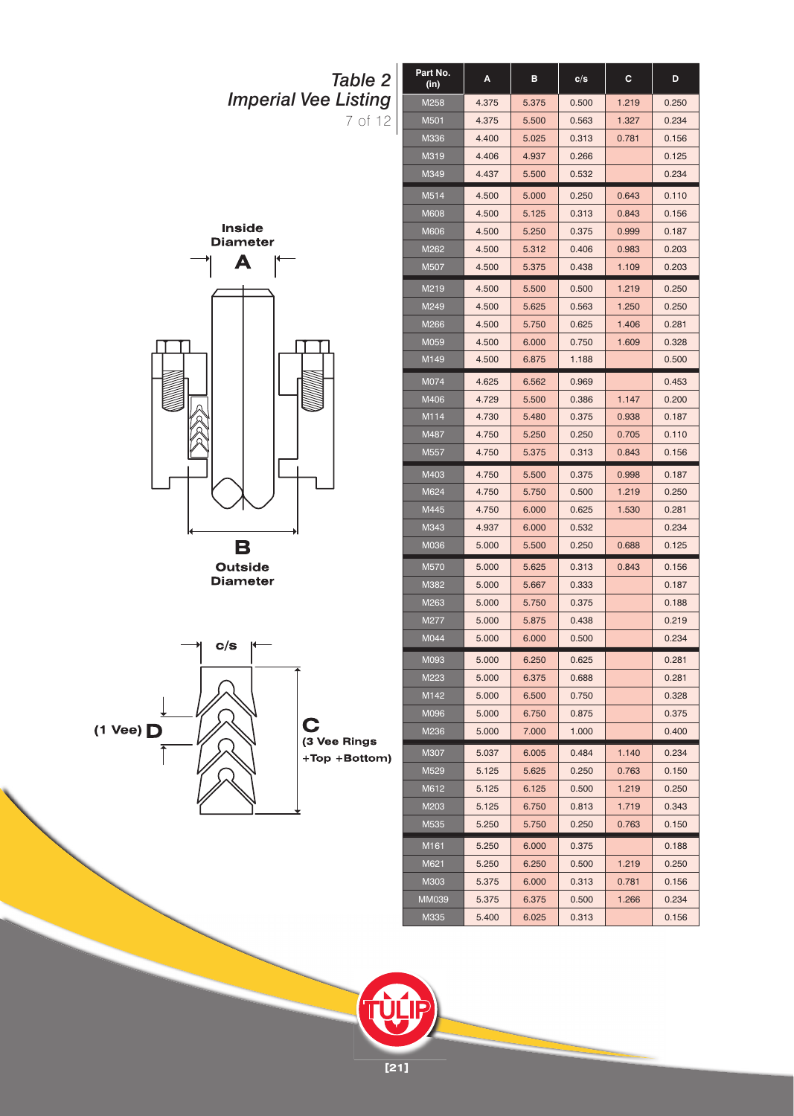





**[21]**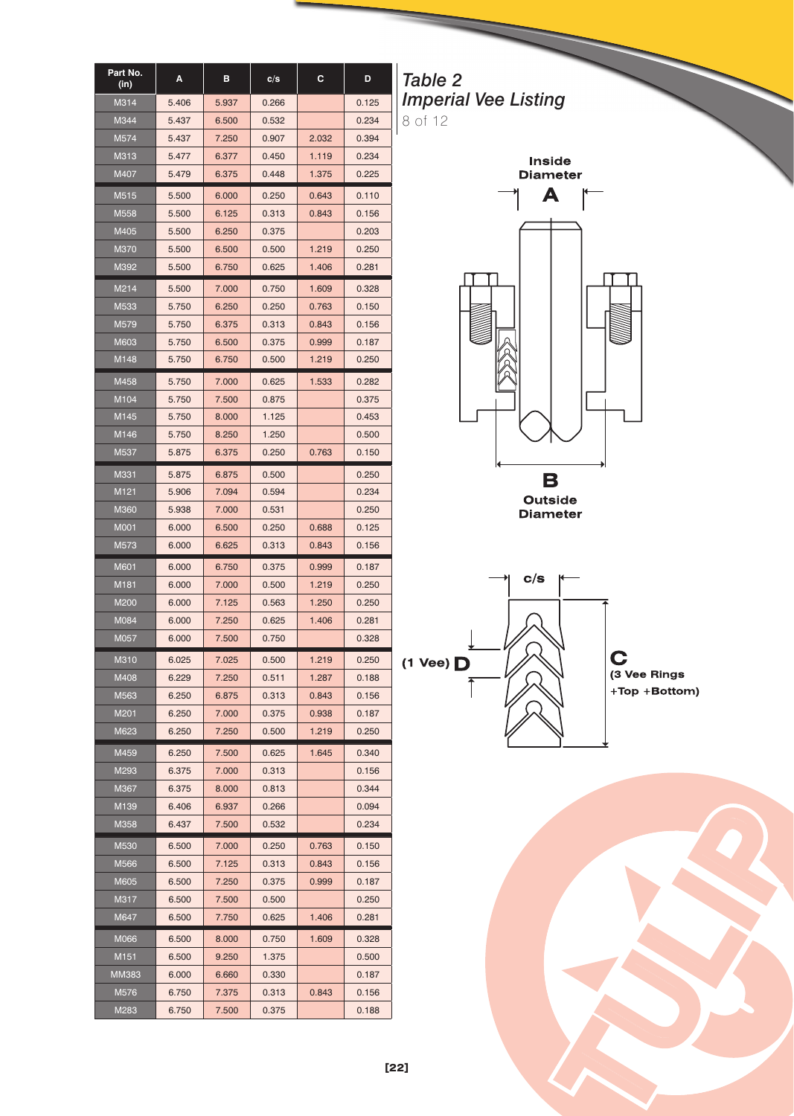| Part No.<br>(in) | А     | в     | c/s   | С     | D     |
|------------------|-------|-------|-------|-------|-------|
| M314             | 5.406 | 5.937 | 0.266 |       | 0.125 |
| M344             | 5.437 | 6.500 | 0.532 |       | 0.234 |
| M574             | 5.437 | 7.250 | 0.907 | 2.032 | 0.394 |
| M313             | 5.477 | 6.377 | 0.450 | 1.119 | 0.234 |
| M407             | 5.479 | 6.375 | 0.448 | 1.375 | 0.225 |
| M515             | 5.500 | 6.000 | 0.250 | 0.643 | 0.110 |
| M558             | 5.500 | 6.125 | 0.313 | 0.843 | 0.156 |
| M405             | 5.500 | 6.250 | 0.375 |       | 0.203 |
| M370             | 5.500 | 6.500 | 0.500 | 1.219 | 0.250 |
| M392             | 5.500 | 6.750 | 0.625 | 1.406 | 0.281 |
| M214             | 5.500 | 7.000 | 0.750 | 1.609 | 0.328 |
| M533             | 5.750 | 6.250 | 0.250 | 0.763 | 0.150 |
| M579             | 5.750 | 6.375 | 0.313 | 0.843 | 0.156 |
| M603             | 5.750 | 6.500 | 0.375 | 0.999 | 0.187 |
| M148             | 5.750 | 6.750 | 0.500 | 1.219 | 0.250 |
| M458             | 5.750 | 7.000 | 0.625 | 1.533 | 0.282 |
| M104             | 5.750 | 7.500 | 0.875 |       | 0.375 |
| M145             | 5.750 | 8.000 | 1.125 |       | 0.453 |
| M146             | 5.750 | 8.250 | 1.250 |       | 0.500 |
| M537             | 5.875 | 6.375 | 0.250 | 0.763 | 0.150 |
| M331             | 5.875 | 6.875 | 0.500 |       | 0.250 |
| M121             | 5.906 | 7.094 | 0.594 |       | 0.234 |
| M360             | 5.938 | 7.000 | 0.531 |       | 0.250 |
| <b>M001</b>      | 6.000 | 6.500 | 0.250 | 0.688 | 0.125 |
| M573             | 6.000 | 6.625 | 0.313 | 0.843 | 0.156 |
| M601             | 6.000 | 6.750 | 0.375 | 0.999 | 0.187 |
| M181             | 6.000 | 7.000 | 0.500 | 1.219 | 0.250 |
| M200             | 6.000 | 7.125 | 0.563 | 1.250 | 0.250 |
| M084             | 6.000 | 7.250 | 0.625 | 1.406 | 0.281 |
| M057             | 6.000 | 7.500 | 0.750 |       | 0.328 |
| M310             | 6.025 | 7.025 | 0.500 | 1.219 | 0.250 |
| M408             | 6.229 | 7.250 | 0.511 | 1.287 | 0.188 |
| M563             | 6.250 | 6.875 | 0.313 | 0.843 | 0.156 |
| M201             | 6.250 | 7.000 | 0.375 | 0.938 | 0.187 |
| M623             | 6.250 | 7.250 | 0.500 | 1.219 | 0.250 |
| M459             | 6.250 | 7.500 | 0.625 | 1.645 | 0.340 |
| M293             | 6.375 | 7.000 | 0.313 |       | 0.156 |
| M367             | 6.375 | 8.000 | 0.813 |       | 0.344 |
| M139             | 6.406 | 6.937 | 0.266 |       | 0.094 |
| M358             | 6.437 | 7.500 | 0.532 |       | 0.234 |
| M530             | 6.500 | 7.000 | 0.250 | 0.763 | 0.150 |
| M566             | 6.500 | 7.125 | 0.313 | 0.843 | 0.156 |
| M605             | 6.500 | 7.250 | 0.375 | 0.999 | 0.187 |
| M317             | 6.500 | 7.500 | 0.500 |       | 0.250 |
| M647             | 6.500 | 7.750 | 0.625 | 1.406 | 0.281 |
| M066             | 6.500 | 8.000 | 0.750 | 1.609 | 0.328 |
| M <sub>151</sub> | 6.500 | 9.250 | 1.375 |       | 0.500 |
| MM383            | 6.000 | 6.660 | 0.330 |       | 0.187 |
| M576             | 6.750 | 7.375 | 0.313 | 0.843 | 0.156 |
|                  | 6.750 | 7.500 | 0.375 |       | 0.188 |

*Table 2 Imperial Vee Listing* 8 of 12





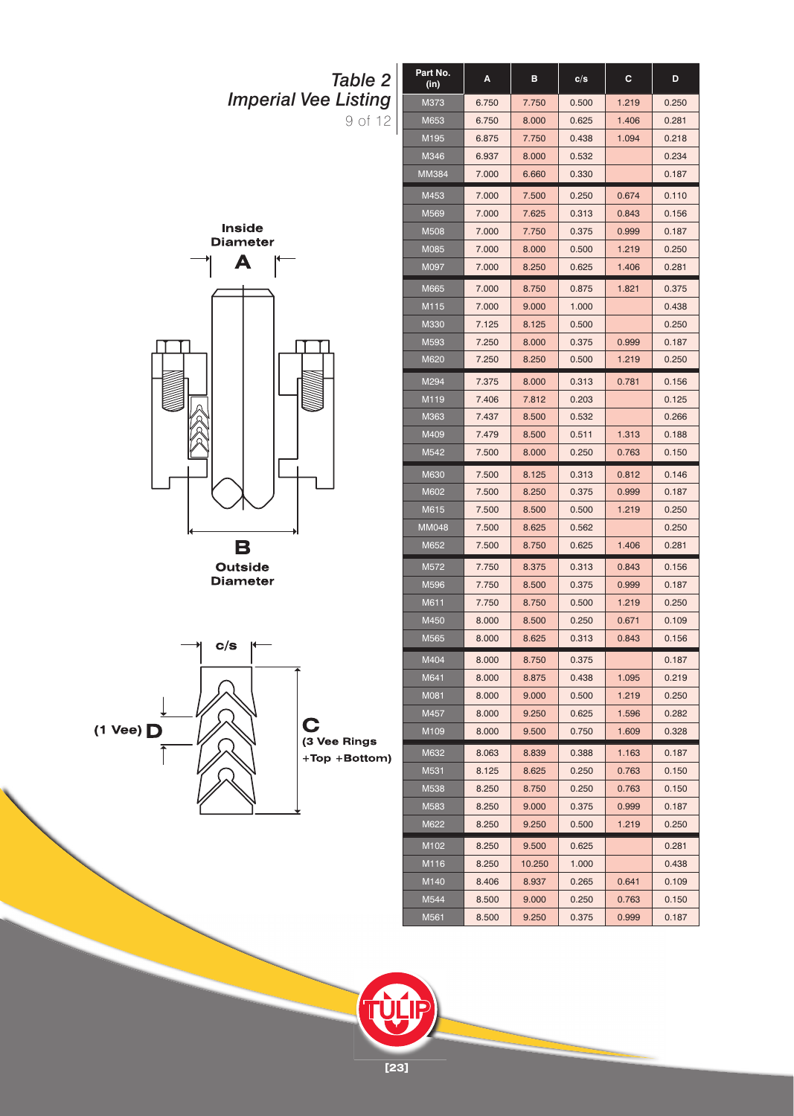

**[23]**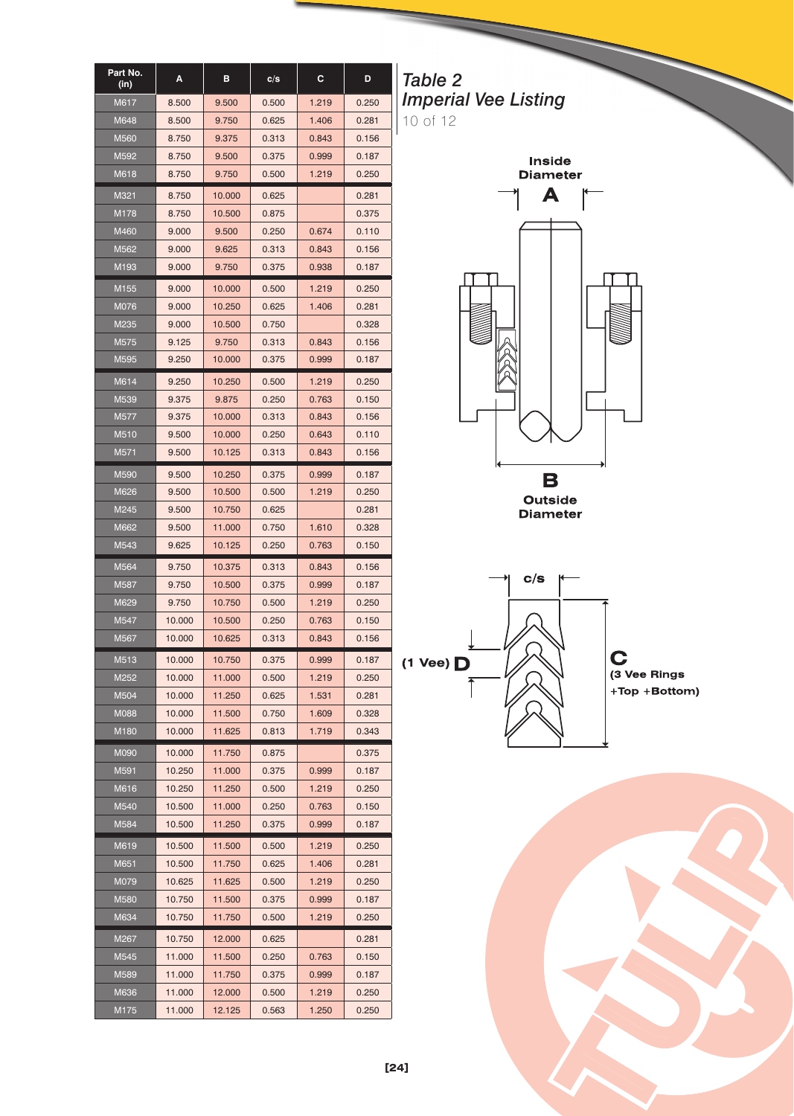| Part No.<br>(in) | A      | в      | c/s   | c     | D     |
|------------------|--------|--------|-------|-------|-------|
| M617             | 8.500  | 9.500  | 0.500 | 1.219 | 0.250 |
| M648             | 8.500  | 9.750  | 0.625 | 1.406 | 0.281 |
| M560             | 8.750  | 9.375  | 0.313 | 0.843 | 0.156 |
| M592             | 8.750  | 9.500  | 0.375 | 0.999 | 0.187 |
| M618             | 8.750  | 9.750  | 0.500 | 1.219 | 0.250 |
| M321             | 8.750  | 10.000 | 0.625 |       | 0.281 |
| M178             | 8.750  | 10.500 | 0.875 |       | 0.375 |
| M460             | 9.000  | 9.500  | 0.250 | 0.674 | 0.110 |
| M562             | 9.000  | 9.625  | 0.313 | 0.843 | 0.156 |
| M <sub>193</sub> | 9.000  | 9.750  | 0.375 | 0.938 | 0.187 |
| M155             | 9.000  | 10.000 | 0.500 | 1.219 | 0.250 |
| M076             | 9.000  | 10.250 | 0.625 | 1.406 | 0.281 |
| M235             | 9.000  | 10.500 | 0.750 |       | 0.328 |
| M575             | 9.125  | 9.750  | 0.313 | 0.843 | 0.156 |
| M595             | 9.250  | 10.000 | 0.375 | 0.999 | 0.187 |
| M614             | 9.250  | 10.250 | 0.500 | 1.219 | 0.250 |
| M539             | 9.375  | 9.875  | 0.250 | 0.763 | 0.150 |
| M577             | 9.375  | 10.000 | 0.313 | 0.843 | 0.156 |
| M510             | 9.500  | 10.000 | 0.250 | 0.643 | 0.110 |
| M571             | 9.500  | 10.125 | 0.313 | 0.843 | 0.156 |
| M590             | 9.500  | 10.250 | 0.375 | 0.999 | 0.187 |
| M626             | 9.500  | 10.500 | 0.500 | 1.219 | 0.250 |
| M245             | 9.500  | 10.750 | 0.625 |       | 0.281 |
| M662             | 9.500  | 11.000 | 0.750 | 1.610 | 0.328 |
| M543             | 9.625  | 10.125 | 0.250 | 0.763 | 0.150 |
| M564             | 9.750  | 10.375 | 0.313 | 0.843 | 0.156 |
| M587             | 9.750  | 10.500 | 0.375 | 0.999 | 0.187 |
| M629             | 9.750  | 10.750 | 0.500 | 1.219 | 0.250 |
| M547             | 10.000 | 10.500 | 0.250 | 0.763 | 0.150 |
| M567             | 10.000 | 10.625 | 0.313 | 0.843 | 0.156 |
| M513             | 10.000 | 10.750 | 0.375 | 0.999 | 0.187 |
| M252             | 10.000 | 11.000 | 0.500 | 1.219 | 0.250 |
| M504             | 10.000 | 11.250 | 0.625 | 1.531 | 0.281 |
| M088             | 10.000 | 11.500 | 0.750 | 1.609 | 0.328 |
| M <sub>180</sub> | 10.000 | 11.625 | 0.813 | 1.719 | 0.343 |
| M090             | 10.000 | 11.750 | 0.875 |       | 0.375 |
| M591             | 10.250 | 11.000 | 0.375 | 0.999 | 0.187 |
| M616             | 10.250 | 11.250 | 0.500 | 1.219 | 0.250 |
| M540             | 10.500 | 11.000 | 0.250 | 0.763 | 0.150 |
| M584             | 10.500 | 11.250 | 0.375 | 0.999 | 0.187 |
| M619             | 10.500 | 11.500 | 0.500 | 1.219 | 0.250 |
| M651             | 10.500 | 11.750 | 0.625 | 1.406 | 0.281 |
| M079             | 10.625 | 11.625 | 0.500 | 1.219 | 0.250 |
| M580             | 10.750 | 11.500 | 0.375 | 0.999 | 0.187 |
| M634             | 10.750 | 11.750 | 0.500 | 1.219 | 0.250 |
| M267             | 10.750 | 12.000 | 0.625 |       | 0.281 |
| M545             | 11.000 | 11.500 | 0.250 | 0.763 | 0.150 |
| M589             | 11.000 | 11.750 | 0.375 | 0.999 | 0.187 |
| M636             | 11.000 | 12.000 | 0.500 | 1.219 | 0.250 |
| M175             | 11.000 | 12.125 | 0.563 | 1.250 | 0.250 |

*Table 2 Imperial Vee Listing* 10 of 12





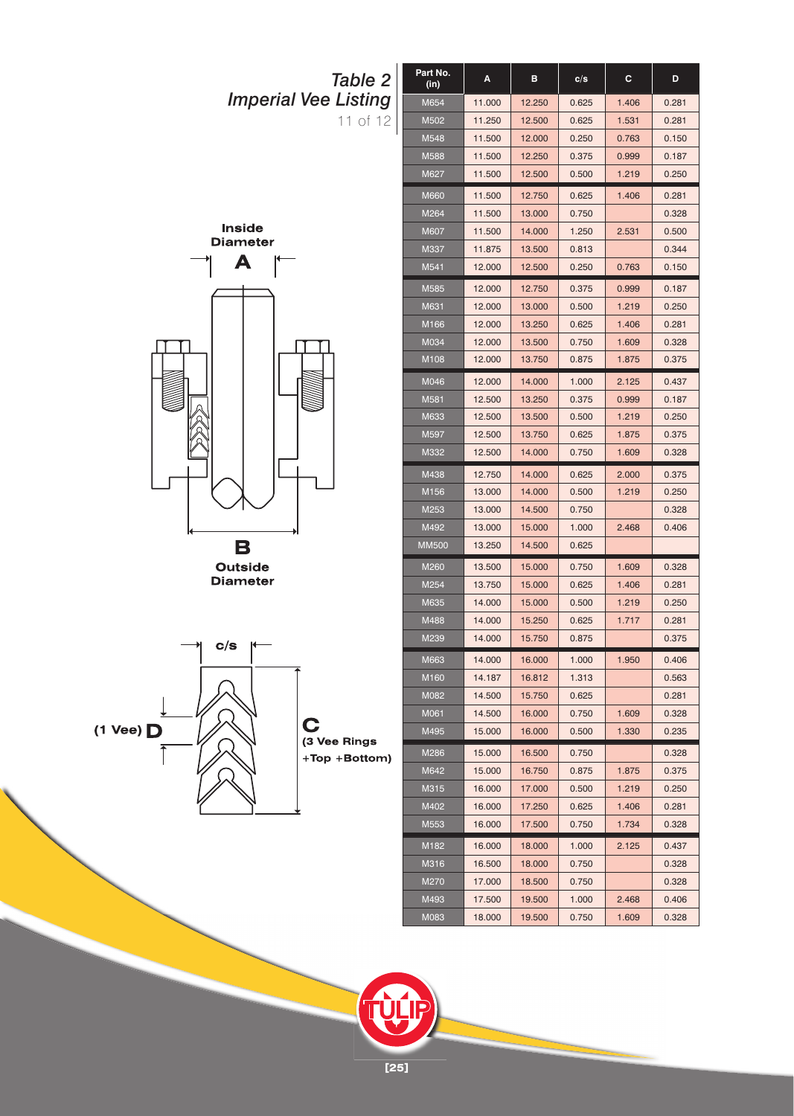



**Outside** 



**[25]**